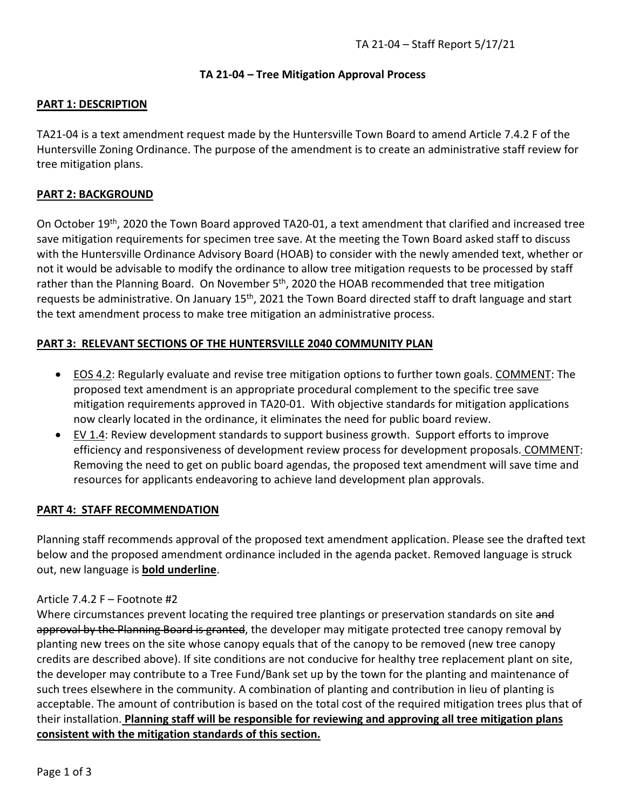### **TA 21-04 – Tree Mitigation Approval Process**

## **PART 1: DESCRIPTION**

TA21-04 is a text amendment request made by the Huntersville Town Board to amend Article 7.4.2 F of the Huntersville Zoning Ordinance. The purpose of the amendment is to create an administrative staff review for tree mitigation plans.

## **PART 2: BACKGROUND**

On October 19th, 2020 the Town Board approved TA20-01, a text amendment that clarified and increased tree save mitigation requirements for specimen tree save. At the meeting the Town Board asked staff to discuss with the Huntersville Ordinance Advisory Board (HOAB) to consider with the newly amended text, whether or not it would be advisable to modify the ordinance to allow tree mitigation requests to be processed by staff rather than the Planning Board. On November 5<sup>th</sup>, 2020 the HOAB recommended that tree mitigation requests be administrative. On January 15<sup>th</sup>, 2021 the Town Board directed staff to draft language and start the text amendment process to make tree mitigation an administrative process.

### **PART 3: RELEVANT SECTIONS OF THE HUNTERSVILLE 2040 COMMUNITY PLAN**

- EOS 4.2: Regularly evaluate and revise tree mitigation options to further town goals. COMMENT: The proposed text amendment is an appropriate procedural complement to the specific tree save mitigation requirements approved in TA20-01. With objective standards for mitigation applications now clearly located in the ordinance, it eliminates the need for public board review.
- EV 1.4: Review development standards to support business growth. Support efforts to improve efficiency and responsiveness of development review process for development proposals. COMMENT: Removing the need to get on public board agendas, the proposed text amendment will save time and resources for applicants endeavoring to achieve land development plan approvals.

#### **PART 4: STAFF RECOMMENDATION**

Planning staff recommends approval of the proposed text amendment application. Please see the drafted text below and the proposed amendment ordinance included in the agenda packet. Removed language is struck out, new language is **bold underline**.

#### Article 7.4.2 F – Footnote #2

Where circumstances prevent locating the required tree plantings or preservation standards on site and approval by the Planning Board is granted, the developer may mitigate protected tree canopy removal by planting new trees on the site whose canopy equals that of the canopy to be removed (new tree canopy credits are described above). If site conditions are not conducive for healthy tree replacement plant on site, the developer may contribute to a Tree Fund/Bank set up by the town for the planting and maintenance of such trees elsewhere in the community. A combination of planting and contribution in lieu of planting is acceptable. The amount of contribution is based on the total cost of the required mitigation trees plus that of their installation. **Planning staff will be responsible for reviewing and approving all tree mitigation plans consistent with the mitigation standards of this section.**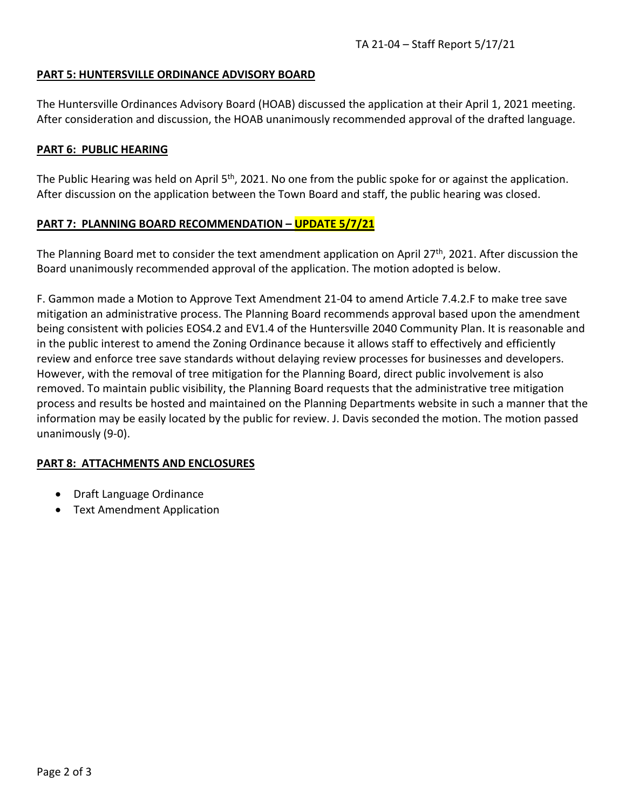#### **PART 5: HUNTERSVILLE ORDINANCE ADVISORY BOARD**

The Huntersville Ordinances Advisory Board (HOAB) discussed the application at their April 1, 2021 meeting. After consideration and discussion, the HOAB unanimously recommended approval of the drafted language.

#### **PART 6: PUBLIC HEARING**

The Public Hearing was held on April 5<sup>th</sup>, 2021. No one from the public spoke for or against the application. After discussion on the application between the Town Board and staff, the public hearing was closed.

#### **PART 7: PLANNING BOARD RECOMMENDATION – UPDATE 5/7/21**

The Planning Board met to consider the text amendment application on April 27<sup>th</sup>, 2021. After discussion the Board unanimously recommended approval of the application. The motion adopted is below.

F. Gammon made a Motion to Approve Text Amendment 21-04 to amend Article 7.4.2.F to make tree save mitigation an administrative process. The Planning Board recommends approval based upon the amendment being consistent with policies EOS4.2 and EV1.4 of the Huntersville 2040 Community Plan. It is reasonable and in the public interest to amend the Zoning Ordinance because it allows staff to effectively and efficiently review and enforce tree save standards without delaying review processes for businesses and developers. However, with the removal of tree mitigation for the Planning Board, direct public involvement is also removed. To maintain public visibility, the Planning Board requests that the administrative tree mitigation process and results be hosted and maintained on the Planning Departments website in such a manner that the information may be easily located by the public for review. J. Davis seconded the motion. The motion passed unanimously (9-0).

#### **PART 8: ATTACHMENTS AND ENCLOSURES**

- Draft Language Ordinance
- Text Amendment Application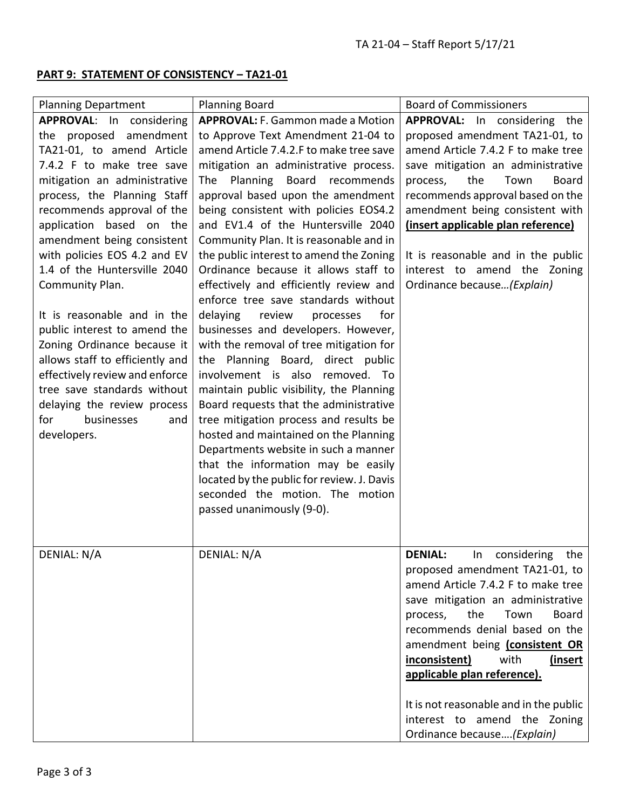# **PART 9: STATEMENT OF CONSISTENCY – TA21-01**

| <b>Planning Department</b>                                                                                                                                                                                                                                                                                                                                                                                                                                                                                                                                                                                | <b>Planning Board</b>                                                                                                                                                                                                                                                                                                                                                                                                                                                                                                                                                                                                                                                                                                                                                                                                                                                                                                                                                                                                                                                        | <b>Board of Commissioners</b>                                                                                                                                                                                                                                                                                                                                                                                                                   |
|-----------------------------------------------------------------------------------------------------------------------------------------------------------------------------------------------------------------------------------------------------------------------------------------------------------------------------------------------------------------------------------------------------------------------------------------------------------------------------------------------------------------------------------------------------------------------------------------------------------|------------------------------------------------------------------------------------------------------------------------------------------------------------------------------------------------------------------------------------------------------------------------------------------------------------------------------------------------------------------------------------------------------------------------------------------------------------------------------------------------------------------------------------------------------------------------------------------------------------------------------------------------------------------------------------------------------------------------------------------------------------------------------------------------------------------------------------------------------------------------------------------------------------------------------------------------------------------------------------------------------------------------------------------------------------------------------|-------------------------------------------------------------------------------------------------------------------------------------------------------------------------------------------------------------------------------------------------------------------------------------------------------------------------------------------------------------------------------------------------------------------------------------------------|
| APPROVAL: In considering                                                                                                                                                                                                                                                                                                                                                                                                                                                                                                                                                                                  | <b>APPROVAL:</b> F. Gammon made a Motion                                                                                                                                                                                                                                                                                                                                                                                                                                                                                                                                                                                                                                                                                                                                                                                                                                                                                                                                                                                                                                     | APPROVAL: In considering the                                                                                                                                                                                                                                                                                                                                                                                                                    |
| amendment<br>the proposed<br>TA21-01, to amend Article<br>7.4.2 F to make tree save<br>mitigation an administrative<br>process, the Planning Staff<br>recommends approval of the<br>application based on the<br>amendment being consistent<br>with policies EOS 4.2 and EV<br>1.4 of the Huntersville 2040<br>Community Plan.<br>It is reasonable and in the<br>public interest to amend the<br>Zoning Ordinance because it<br>allows staff to efficiently and<br>effectively review and enforce<br>tree save standards without<br>delaying the review process<br>for<br>businesses<br>and<br>developers. | to Approve Text Amendment 21-04 to<br>amend Article 7.4.2.F to make tree save<br>mitigation an administrative process.<br>Planning<br>Board<br>The<br>recommends<br>approval based upon the amendment<br>being consistent with policies EOS4.2<br>and EV1.4 of the Huntersville 2040<br>Community Plan. It is reasonable and in<br>the public interest to amend the Zoning<br>Ordinance because it allows staff to<br>effectively and efficiently review and<br>enforce tree save standards without<br>delaying<br>review<br>processes<br>for<br>businesses and developers. However,<br>with the removal of tree mitigation for<br>the Planning Board, direct public<br>involvement is also removed. To<br>maintain public visibility, the Planning<br>Board requests that the administrative<br>tree mitigation process and results be<br>hosted and maintained on the Planning<br>Departments website in such a manner<br>that the information may be easily<br>located by the public for review. J. Davis<br>seconded the motion. The motion<br>passed unanimously (9-0). | proposed amendment TA21-01, to<br>amend Article 7.4.2 F to make tree<br>save mitigation an administrative<br>the<br>Town<br><b>Board</b><br>process,<br>recommends approval based on the<br>amendment being consistent with<br>(insert applicable plan reference)<br>It is reasonable and in the public<br>interest to amend the Zoning<br>Ordinance because (Explain)                                                                          |
| <b>DENIAL: N/A</b>                                                                                                                                                                                                                                                                                                                                                                                                                                                                                                                                                                                        | DENIAL: N/A                                                                                                                                                                                                                                                                                                                                                                                                                                                                                                                                                                                                                                                                                                                                                                                                                                                                                                                                                                                                                                                                  | <b>DENIAL:</b><br>In<br>considering the<br>proposed amendment TA21-01, to<br>amend Article 7.4.2 F to make tree<br>save mitigation an administrative<br>the<br>Town<br><b>Board</b><br>process,<br>recommends denial based on the<br>amendment being (consistent OR<br>inconsistent)<br>with<br>(insert<br>applicable plan reference).<br>It is not reasonable and in the public<br>interest to amend the Zoning<br>Ordinance because (Explain) |